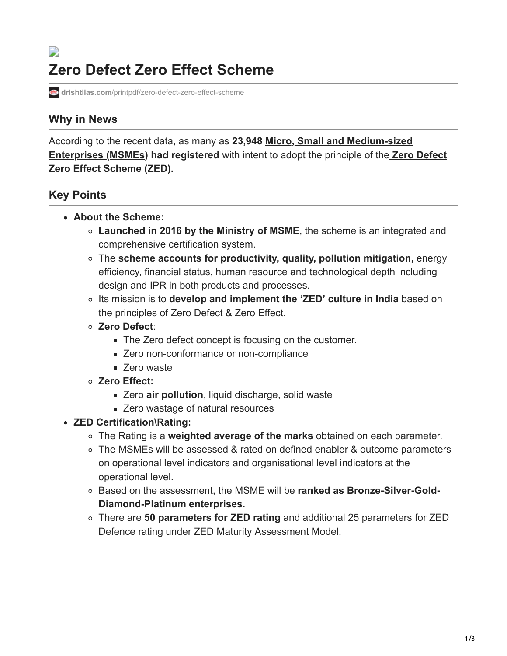## $\Box$ **Zero Defect Zero Effect Scheme**

**drishtiias.com**[/printpdf/zero-defect-zero-effect-scheme](https://www.drishtiias.com/printpdf/zero-defect-zero-effect-scheme)

## **Why in News**

[According to the recent data, as many as](https://www.drishtiias.com/daily-updates/daily-news-analysis/international-msmes-day) **23,948 Micro, Small and Medium-sized Enterprises (MSMEs) had registered** [with intent to adopt the principle of the](https://www.drishtiias.com/daily-updates/daily-news-editorials/the-elixir-for-msmes-access-to-credit) **Zero Defect Zero Effect Scheme (ZED).**

## **Key Points**

- **About the Scheme:**
	- **Launched in 2016 by the Ministry of MSME**, the scheme is an integrated and comprehensive certification system.
	- The **scheme accounts for productivity, quality, pollution mitigation,** energy efficiency, financial status, human resource and technological depth including design and IPR in both products and processes.
	- Its mission is to **develop and implement the 'ZED' culture in India** based on the principles of Zero Defect & Zero Effect.
	- **Zero Defect**:
		- The Zero defect concept is focusing on the customer.
		- **EXECO NON-CONFORMANCE OF NON-COMPLIANCE**
		- Zero waste
	- **Zero Effect:**
		- Zero **[air pollution](https://www.drishtiias.com/daily-updates/daily-news-editorials/air-pollution-concerted-efforts)**, liquid discharge, solid waste
		- **EXECO** wastage of natural resources
- **ZED Certification\Rating:**
	- The Rating is a **weighted average of the marks** obtained on each parameter.
	- The MSMEs will be assessed & rated on defined enabler & outcome parameters on operational level indicators and organisational level indicators at the operational level.
	- Based on the assessment, the MSME will be **ranked as Bronze-Silver-Gold-Diamond-Platinum enterprises.**
	- There are **50 parameters for ZED rating** and additional 25 parameters for ZED Defence rating under ZED Maturity Assessment Model.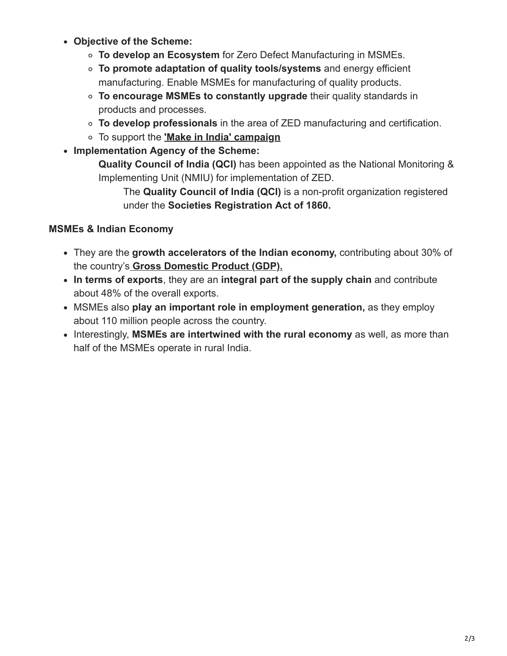- **Objective of the Scheme:**
	- **To develop an Ecosystem** for Zero Defect Manufacturing in MSMEs.
	- **To promote adaptation of quality tools/systems** and energy efficient manufacturing. Enable MSMEs for manufacturing of quality products.
	- **To encourage MSMEs to constantly upgrade** their quality standards in products and processes.
	- **To develop professionals** in the area of ZED manufacturing and certification.
	- To support the **['Make in India' campaign](https://www.drishtiias.com/daily-updates/daily-news-editorials/assessment-of-make-in-india)**
- **Implementation Agency of the Scheme:**

**Quality Council of India (QCI)** has been appointed as the National Monitoring & Implementing Unit (NMIU) for implementation of ZED.

The **Quality Council of India (QCI)** is a non-profit organization registered under the **Societies Registration Act of 1860.**

## **MSMEs & Indian Economy**

- They are the **growth accelerators of the Indian economy,** contributing about 30% of the country's **[Gross Domestic Product \(GDP\).](https://www.drishtiias.com/daily-updates/daily-news-analysis/gdp-growth)**
- **In terms of exports**, they are an **integral part of the supply chain** and contribute about 48% of the overall exports.
- MSMEs also **play an important role in employment generation,** as they employ about 110 million people across the country.
- Interestingly, **MSMEs are intertwined with the rural economy** as well, as more than half of the MSMEs operate in rural India.